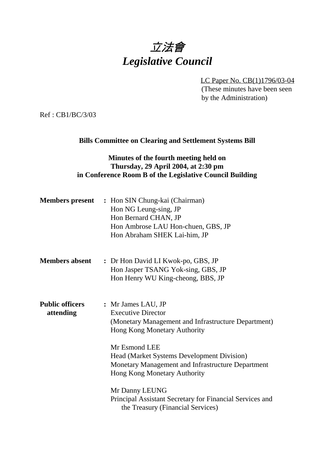# 立法會 *Legislative Council*

LC Paper No. CB(1)1796/03-04 (These minutes have been seen by the Administration)

Ref : CB1/BC/3/03

#### **Bills Committee on Clearing and Settlement Systems Bill**

## **Minutes of the fourth meeting held on Thursday, 29 April 2004, at 2:30 pm in Conference Room B of the Legislative Council Building**

| <b>Members present</b>              | : Hon SIN Chung-kai (Chairman)<br>Hon NG Leung-sing, JP<br>Hon Bernard CHAN, JP<br>Hon Ambrose LAU Hon-chuen, GBS, JP<br>Hon Abraham SHEK Lai-him, JP                                                                                                                                                        |
|-------------------------------------|--------------------------------------------------------------------------------------------------------------------------------------------------------------------------------------------------------------------------------------------------------------------------------------------------------------|
| <b>Members absent</b>               | : Dr Hon David LI Kwok-po, GBS, JP<br>Hon Jasper TSANG Yok-sing, GBS, JP<br>Hon Henry WU King-cheong, BBS, JP                                                                                                                                                                                                |
| <b>Public officers</b><br>attending | : Mr James LAU, JP<br><b>Executive Director</b><br>(Monetary Management and Infrastructure Department)<br>Hong Kong Monetary Authority<br>Mr Esmond LEE<br>Head (Market Systems Development Division)<br>Monetary Management and Infrastructure Department<br>Hong Kong Monetary Authority<br>Mr Danny LEUNG |
|                                     | Principal Assistant Secretary for Financial Services and<br>the Treasury (Financial Services)                                                                                                                                                                                                                |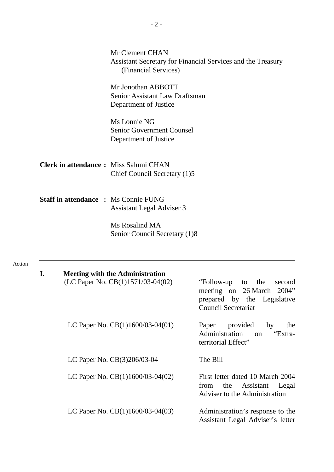|               |                                              | Mr Clement CHAN<br>Assistant Secretary for Financial Services and the Treasury<br>(Financial Services) |                                                                                                                                    |  |
|---------------|----------------------------------------------|--------------------------------------------------------------------------------------------------------|------------------------------------------------------------------------------------------------------------------------------------|--|
|               |                                              | Mr Jonothan ABBOTT<br>Senior Assistant Law Draftsman<br>Department of Justice                          |                                                                                                                                    |  |
|               |                                              | Ms Lonnie NG<br><b>Senior Government Counsel</b><br>Department of Justice                              |                                                                                                                                    |  |
|               | <b>Clerk in attendance:</b> Miss Salumi CHAN | Chief Council Secretary (1)5                                                                           |                                                                                                                                    |  |
|               | <b>Staff in attendance : Ms Connie FUNG</b>  | <b>Assistant Legal Adviser 3</b>                                                                       |                                                                                                                                    |  |
|               |                                              | Ms Rosalind MA<br>Senior Council Secretary (1)8                                                        |                                                                                                                                    |  |
| <b>Action</b> |                                              |                                                                                                        |                                                                                                                                    |  |
|               | I.                                           | <b>Meeting with the Administration</b><br>(LC Paper No. CB(1)1571/03-04(02)                            | "Follow-up"<br>the<br>to<br>second<br>meeting on<br>26 March<br>2004"<br>prepared by the Legislative<br><b>Council Secretariat</b> |  |
|               |                                              | LC Paper No. $CB(1)1600/03-04(01)$                                                                     | Paper provided<br>by<br>the<br>Administration<br>"Extra-<br>on<br>territorial Effect"                                              |  |

- LC Paper No. CB(3)206/03-04 The Bill
- LC Paper No. CB(1)1600/03-04(02) First letter dated 10 March 2004<br>from the Assistant Legal from the Assistant

Adviser to the Administration

LC Paper No.  $CB(1)1600/03-04(03)$  - Administration's response to the Assistant Legal Adviser's letter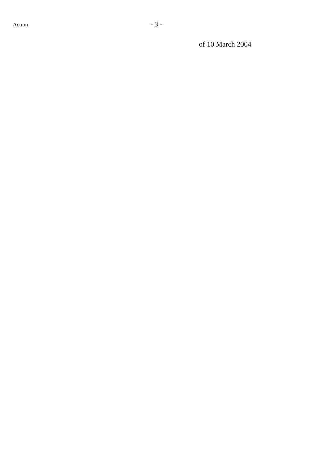of 10 March 2004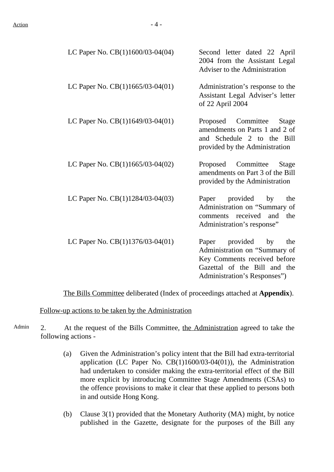| LC Paper No. CB(1)1600/03-04(04)   | Second letter dated 22 April<br>2004 from the Assistant Legal<br>Adviser to the Administration                                                            |
|------------------------------------|-----------------------------------------------------------------------------------------------------------------------------------------------------------|
| LC Paper No. $CB(1)1665/03-04(01)$ | Administration's response to the<br>Assistant Legal Adviser's letter<br>of 22 April 2004                                                                  |
| LC Paper No. $CB(1)1649/03-04(01)$ | Proposed Committee<br>Stage<br>amendments on Parts 1 and 2 of<br>and Schedule 2 to the Bill<br>provided by the Administration                             |
| LC Paper No. CB(1)1665/03-04(02)   | Committee<br>Proposed<br>Stage<br>amendments on Part 3 of the Bill<br>provided by the Administration                                                      |
| LC Paper No. CB(1)1284/03-04(03)   | Paper provided by<br>the<br>Administration on "Summary of<br>comments received<br>and<br>the<br>Administration's response"                                |
| LC Paper No. CB(1)1376/03-04(01)   | Paper provided by<br>the<br>Administration on "Summary of<br>Key Comments received before<br>Gazettal of the Bill and the<br>Administration's Responses") |

The Bills Committee deliberated (Index of proceedings attached at **Appendix**).

Follow-up actions to be taken by the Administration

- Admin 2. At the request of the Bills Committee, the Administration agreed to take the following actions -
	- (a) Given the Administration's policy intent that the Bill had extra-territorial application (LC Paper No. CB(1)1600/03-04(01)), the Administration had undertaken to consider making the extra-territorial effect of the Bill more explicit by introducing Committee Stage Amendments (CSAs) to the offence provisions to make it clear that these applied to persons both in and outside Hong Kong.
	- (b) Clause 3(1) provided that the Monetary Authority (MA) might, by notice published in the Gazette, designate for the purposes of the Bill any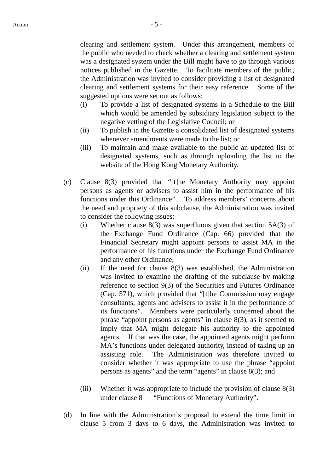clearing and settlement system. Under this arrangement, members of the public who needed to check whether a clearing and settlement system was a designated system under the Bill might have to go through various notices published in the Gazette. To facilitate members of the public, the Administration was invited to consider providing a list of designated clearing and settlement systems for their easy reference. Some of the suggested options were set out as follows:

- (i) To provide a list of designated systems in a Schedule to the Bill which would be amended by subsidiary legislation subject to the negative vetting of the Legislative Council; or
- (ii) To publish in the Gazette a consolidated list of designated systems whenever amendments were made to the list; or
- (iii) To maintain and make available to the public an updated list of designated systems, such as through uploading the list to the website of the Hong Kong Monetary Authority.
- (c) Clause 8(3) provided that "[t]he Monetary Authority may appoint persons as agents or advisers to assist him in the performance of his functions under this Ordinance". To address members' concerns about the need and propriety of this subclause, the Administration was invited to consider the following issues:
	- (i) Whether clause  $8(3)$  was superfluous given that section  $5A(3)$  of the Exchange Fund Ordinance (Cap. 66) provided that the Financial Secretary might appoint persons to assist MA in the performance of his functions under the Exchange Fund Ordinance and any other Ordinance;
	- (ii) If the need for clause 8(3) was established, the Administration was invited to examine the drafting of the subclause by making reference to section 9(3) of the Securities and Futures Ordinance (Cap. 571), which provided that "[t]he Commission may engage consultants, agents and advisers to assist it in the performance of its functions". Members were particularly concerned about the phrase "appoint persons as agents" in clause 8(3), as it seemed to imply that MA might delegate his authority to the appointed agents. If that was the case, the appointed agents might perform MA's functions under delegated authority, instead of taking up an assisting role. The Administration was therefore invited to consider whether it was appropriate to use the phrase "appoint persons as agents" and the term "agents" in clause 8(3); and
	- (iii) Whether it was appropriate to include the provision of clause 8(3) under clause 8 — "Functions of Monetary Authority".
- (d) In line with the Administration's proposal to extend the time limit in clause 5 from 3 days to 6 days, the Administration was invited to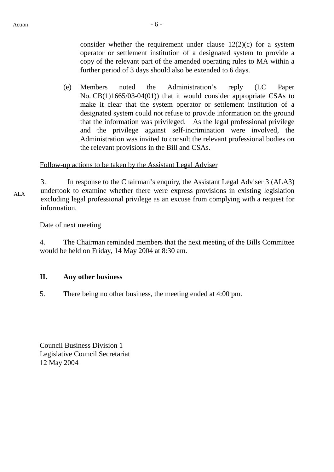consider whether the requirement under clause  $12(2)(c)$  for a system operator or settlement institution of a designated system to provide a copy of the relevant part of the amended operating rules to MA within a further period of 3 days should also be extended to 6 days.

(e) Members noted the Administration's reply (LC Paper No. CB(1)1665/03-04(01)) that it would consider appropriate CSAs to make it clear that the system operator or settlement institution of a designated system could not refuse to provide information on the ground that the information was privileged. As the legal professional privilege and the privilege against self-incrimination were involved, the Administration was invited to consult the relevant professional bodies on the relevant provisions in the Bill and CSAs.

#### Follow-up actions to be taken by the Assistant Legal Adviser

ALA 3. In response to the Chairman's enquiry, the Assistant Legal Adviser 3 (ALA3) undertook to examine whether there were express provisions in existing legislation excluding legal professional privilege as an excuse from complying with a request for information.

#### Date of next meeting

4. The Chairman reminded members that the next meeting of the Bills Committee would be held on Friday, 14 May 2004 at 8:30 am.

#### **II. Any other business**

5. There being no other business, the meeting ended at 4:00 pm.

Council Business Division 1 Legislative Council Secretariat 12 May 2004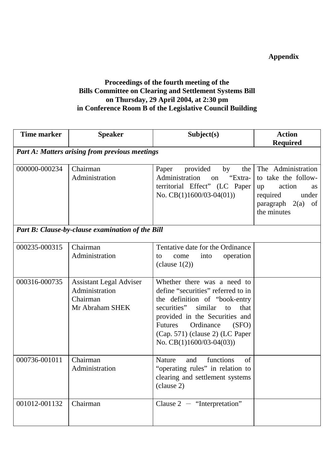# **Appendix**

## **Proceedings of the fourth meeting of the Bills Committee on Clearing and Settlement Systems Bill on Thursday, 29 April 2004, at 2:30 pm in Conference Room B of the Legislative Council Building**

| <b>Time marker</b> | <b>Speaker</b>                                                                  | Subject(s)                                                                                                                                                                                                                                                                            | <b>Action</b>                                                                                                                              |  |
|--------------------|---------------------------------------------------------------------------------|---------------------------------------------------------------------------------------------------------------------------------------------------------------------------------------------------------------------------------------------------------------------------------------|--------------------------------------------------------------------------------------------------------------------------------------------|--|
|                    |                                                                                 |                                                                                                                                                                                                                                                                                       | <b>Required</b>                                                                                                                            |  |
|                    | <b>Part A: Matters arising from previous meetings</b>                           |                                                                                                                                                                                                                                                                                       |                                                                                                                                            |  |
| 000000-000234      | Chairman<br>Administration                                                      | Paper<br>by<br>the<br>provided<br>Administration<br>"Extra-<br>on<br>territorial Effect" (LC Paper<br>No. $CB(1)1600/03-04(01))$                                                                                                                                                      | The Administration<br>to take the follow-<br>action<br>up<br><b>as</b><br>required<br>under<br>$paragraph \quad 2(a)$<br>of<br>the minutes |  |
|                    | Part B: Clause-by-clause examination of the Bill                                |                                                                                                                                                                                                                                                                                       |                                                                                                                                            |  |
| 000235-000315      | Chairman<br>Administration                                                      | Tentative date for the Ordinance<br>operation<br>into<br>come<br>to<br>(clause $1(2)$ )                                                                                                                                                                                               |                                                                                                                                            |  |
| 000316-000735      | <b>Assistant Legal Adviser</b><br>Administration<br>Chairman<br>Mr Abraham SHEK | Whether there was a need to<br>define "securities" referred to in<br>the definition of "book-entry<br>securities"<br>similar<br>that<br>to<br>provided in the Securities and<br><b>Futures</b><br>Ordinance<br>(SFO)<br>(Cap. 571) (clause 2) (LC Paper<br>No. $CB(1)1600/03-04(03))$ |                                                                                                                                            |  |
| 000736-001011      | Chairman<br>Administration                                                      | functions<br>Nature<br>and<br>of<br>"operating rules" in relation to<br>clearing and settlement systems<br>(clause 2)                                                                                                                                                                 |                                                                                                                                            |  |
| 001012-001132      | Chairman                                                                        | Clause $2 -$ "Interpretation"                                                                                                                                                                                                                                                         |                                                                                                                                            |  |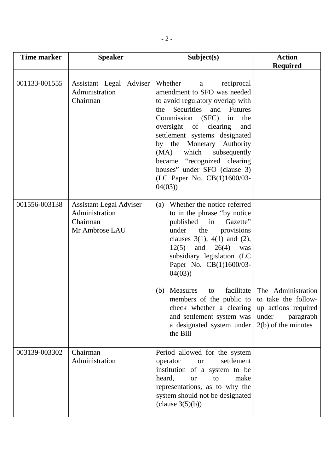| Time marker   | <b>Speaker</b>                                                                 | Subject(s)                                                                                                                                                                                                                                                                                                                                                                                                                                         | <b>Action</b><br><b>Required</b>                                                                                |
|---------------|--------------------------------------------------------------------------------|----------------------------------------------------------------------------------------------------------------------------------------------------------------------------------------------------------------------------------------------------------------------------------------------------------------------------------------------------------------------------------------------------------------------------------------------------|-----------------------------------------------------------------------------------------------------------------|
| 001133-001555 | Assistant Legal Adviser<br>Administration<br>Chairman                          | Whether<br>reciprocal<br>a<br>amendment to SFO was needed<br>to avoid regulatory overlap with<br>Securities and Futures<br>the<br>Commission (SFC)<br>the<br>in<br>oversight of clearing<br>and<br>settlement systems designated<br>by the Monetary Authority<br>which<br>subsequently<br>(MA)<br>became "recognized clearing<br>houses" under SFO (clause 3)<br>(LC Paper No. CB(1)1600/03-<br>04(03)                                             |                                                                                                                 |
| 001556-003138 | <b>Assistant Legal Adviser</b><br>Administration<br>Chairman<br>Mr Ambrose LAU | Whether the notice referred<br>(a)<br>to in the phrase "by notice"<br>published in<br>Gazette"<br>the<br>under<br>provisions<br>clauses $3(1)$ , $4(1)$ and $(2)$ ,<br>12(5)<br>and<br>26(4)<br>was<br>subsidiary legislation (LC<br>Paper No. CB(1)1600/03-<br>04(03)<br>facilitate<br><b>Measures</b><br>(b)<br>to<br>members of the public to<br>check whether a clearing<br>and settlement system was<br>a designated system under<br>the Bill | The Administration<br>to take the follow-<br>up actions required<br>under<br>paragraph<br>$2(b)$ of the minutes |
| 003139-003302 | Chairman<br>Administration                                                     | Period allowed for the system<br>settlement<br>operator<br><b>or</b><br>institution of a system to be<br>heard,<br>make<br><b>or</b><br>to<br>representations, as to why the<br>system should not be designated<br>clause 3(5)(b))                                                                                                                                                                                                                 |                                                                                                                 |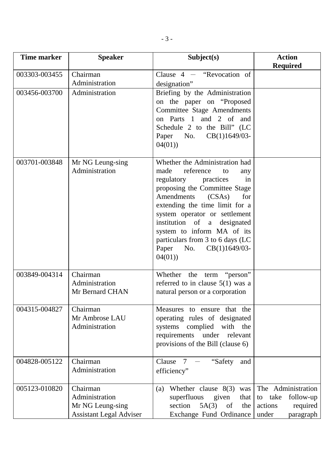| <b>Time marker</b> | <b>Speaker</b>                                                                   | Subject(s)                                                                                                                                                                                                                                                                                                                                                                          | <b>Action</b><br><b>Required</b>                                                        |
|--------------------|----------------------------------------------------------------------------------|-------------------------------------------------------------------------------------------------------------------------------------------------------------------------------------------------------------------------------------------------------------------------------------------------------------------------------------------------------------------------------------|-----------------------------------------------------------------------------------------|
| 003303-003455      | Chairman<br>Administration                                                       | Clause $4 -$ "Revocation of<br>designation"                                                                                                                                                                                                                                                                                                                                         |                                                                                         |
| 003456-003700      | Administration                                                                   | Briefing by the Administration<br>on the paper on "Proposed"<br>Committee Stage Amendments<br>on Parts 1 and 2 of and<br>Schedule 2 to the Bill" (LC<br>Paper<br>No.<br>$CB(1)1649/03$ -<br>04(01)                                                                                                                                                                                  |                                                                                         |
| 003701-003848      | Mr NG Leung-sing<br>Administration                                               | Whether the Administration had<br>reference<br>made<br>to<br>any<br>regulatory<br>practices<br>in<br>proposing the Committee Stage<br>Amendments<br>(CSAs)<br>for<br>extending the time limit for a<br>system operator or settlement<br>institution of a designated<br>system to inform MA of its<br>particulars from 3 to 6 days (LC<br>$CB(1)1649/03$ -<br>Paper<br>No.<br>04(01) |                                                                                         |
| 003849-004314      | Chairman<br>Administration<br>Mr Bernard CHAN                                    | Whether the term "person"<br>referred to in clause $5(1)$ was a<br>natural person or a corporation                                                                                                                                                                                                                                                                                  |                                                                                         |
| 004315-004827      | Chairman<br>Mr Ambrose LAU<br>Administration                                     | Measures to ensure that the<br>operating rules of designated<br>systems complied<br>with the<br>requirements under relevant<br>provisions of the Bill (clause 6)                                                                                                                                                                                                                    |                                                                                         |
| 004828-005122      | Chairman<br>Administration                                                       | Clause $7 -$ "Safety"<br>and<br>efficiency"                                                                                                                                                                                                                                                                                                                                         |                                                                                         |
| 005123-010820      | Chairman<br>Administration<br>Mr NG Leung-sing<br><b>Assistant Legal Adviser</b> | Whether clause $8(3)$<br>was<br>(a)<br>superfluous<br>given<br>that<br>section<br>5A(3)<br>the<br>of<br>Exchange Fund Ordinance                                                                                                                                                                                                                                                     | The Administration<br>to take<br>follow-up<br>actions<br>required<br>paragraph<br>under |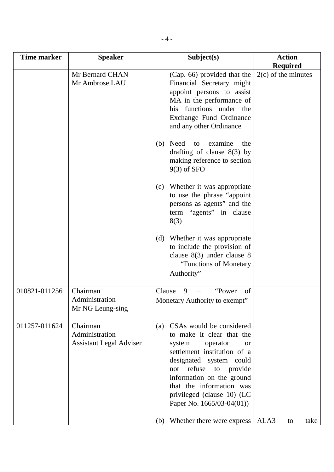| Time marker   | <b>Speaker</b>                                               | Subject(s)                                                                                                                                                                                                                                                                                              | <b>Action</b><br><b>Required</b> |
|---------------|--------------------------------------------------------------|---------------------------------------------------------------------------------------------------------------------------------------------------------------------------------------------------------------------------------------------------------------------------------------------------------|----------------------------------|
|               | Mr Bernard CHAN<br>Mr Ambrose LAU                            | (Cap. 66) provided that the<br>Financial Secretary might<br>appoint persons to assist<br>MA in the performance of<br>his functions under the<br>Exchange Fund Ordinance<br>and any other Ordinance                                                                                                      | $2(c)$ of the minutes            |
|               |                                                              | Need to<br>examine<br>(b)<br>the<br>drafting of clause $8(3)$ by<br>making reference to section<br>$9(3)$ of SFO                                                                                                                                                                                        |                                  |
|               |                                                              | Whether it was appropriate<br>(c)<br>to use the phrase "appoint"<br>persons as agents" and the<br>term "agents" in clause<br>8(3)                                                                                                                                                                       |                                  |
|               |                                                              | (d) Whether it was appropriate<br>to include the provision of<br>clause $8(3)$ under clause 8<br>- "Functions of Monetary"<br>Authority"                                                                                                                                                                |                                  |
| 010821-011256 | Chairman<br>Administration<br>Mr NG Leung-sing               | "Power"<br>Clause<br>9<br>of<br>Monetary Authority to exempt"                                                                                                                                                                                                                                           |                                  |
| 011257-011624 | Chairman<br>Administration<br><b>Assistant Legal Adviser</b> | CSAs would be considered<br>(a)<br>to make it clear that the<br>operator<br>system<br><b>or</b><br>settlement institution of a<br>designated system could<br>not refuse to provide<br>information on the ground<br>that the information was<br>privileged (clause 10) (LC<br>Paper No. $1665/03-04(01)$ |                                  |
|               |                                                              | (b) Whether there were express                                                                                                                                                                                                                                                                          | ALA3<br>take<br>to               |